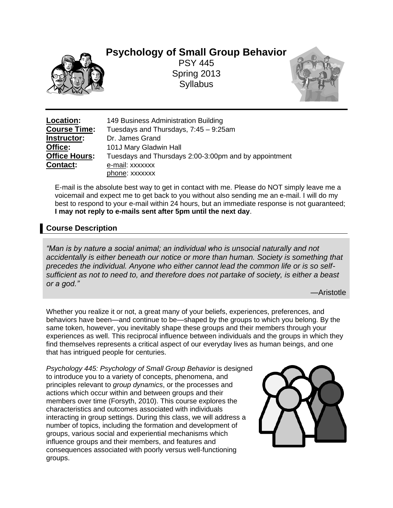**Psychology of Small Group Behavior**



PSY 445 Spring 2013 Syllabus



**Location:** 149 Business Administration Building **Course Time:** Tuesdays and Thursdays, 7:45 – 9:25am **Instructor:** Dr. James Grand **Office:** 101J Mary Gladwin Hall **Office Hours:** Tuesdays and Thursdays 2:00-3:00pm and by appointment **Contact:** e-mail: xxxxxxx phone: xxxxxxx

E-mail is the absolute best way to get in contact with me. Please do NOT simply leave me a voicemail and expect me to get back to you without also sending me an e-mail. I will do my best to respond to your e-mail within 24 hours, but an immediate response is not guaranteed; **I may not reply to e-mails sent after 5pm until the next day**.

# **Course Description**

*"Man is by nature a social animal; an individual who is unsocial naturally and not accidentally is either beneath our notice or more than human. Society is something that precedes the individual. Anyone who either cannot lead the common life or is so selfsufficient as not to need to, and therefore does not partake of society, is either a beast or a god."*

—Aristotle

Whether you realize it or not, a great many of your beliefs, experiences, preferences, and behaviors have been—and continue to be—shaped by the groups to which you belong. By the same token, however, you inevitably shape these groups and their members through your experiences as well. This reciprocal influence between individuals and the groups in which they find themselves represents a critical aspect of our everyday lives as human beings, and one that has intrigued people for centuries.

*Psychology 445: Psychology of Small Group Behavior* is designed to introduce you to a variety of concepts, phenomena, and principles relevant to *group dynamics*, or the processes and actions which occur within and between groups and their members over time (Forsyth, 2010). This course explores the characteristics and outcomes associated with individuals interacting in group settings. During this class, we will address a number of topics, including the formation and development of groups, various social and experiential mechanisms which influence groups and their members, and features and consequences associated with poorly versus well-functioning groups.

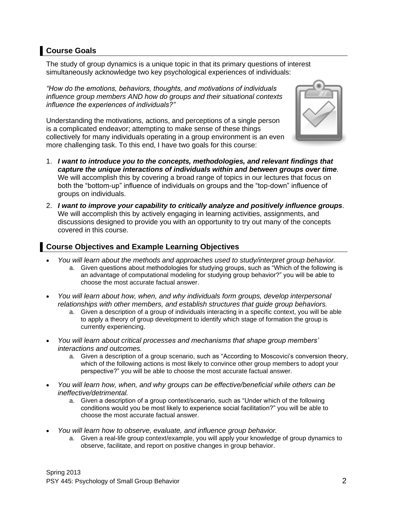# **Course Goals**

The study of group dynamics is a unique topic in that its primary questions of interest simultaneously acknowledge two key psychological experiences of individuals:

*"How do the emotions, behaviors, thoughts, and motivations of individuals influence group members AND how do groups and their situational contexts influence the experiences of individuals?"*

Understanding the motivations, actions, and perceptions of a single person is a complicated endeavor; attempting to make sense of these things collectively for many individuals operating in a group environment is an even more challenging task. To this end, I have two goals for this course:



- 1. *I want to introduce you to the concepts, methodologies, and relevant findings that capture the unique interactions of individuals within and between groups over time.*  We will accomplish this by covering a broad range of topics in our lectures that focus on both the "bottom-up" influence of individuals on groups and the "top-down" influence of groups on individuals.
- 2. *I want to improve your capability to critically analyze and positively influence groups*. We will accomplish this by actively engaging in learning activities, assignments, and discussions designed to provide you with an opportunity to try out many of the concepts covered in this course.

# **Course Objectives and Example Learning Objectives**

- *You will learn about the methods and approaches used to study/interpret group behavior.*
	- a. Given questions about methodologies for studying groups, such as "Which of the following is an advantage of computational modeling for studying group behavior?" you will be able to choose the most accurate factual answer.
- *You will learn about how, when, and why individuals form groups, develop interpersonal relationships with other members, and establish structures that guide group behaviors.*
	- a. Given a description of a group of individuals interacting in a specific context, you will be able to apply a theory of group development to identify which stage of formation the group is currently experiencing.
- *You will learn about critical processes and mechanisms that shape group members' interactions and outcomes.*
	- a. Given a description of a group scenario, such as "According to Moscovici's conversion theory, which of the following actions is most likely to convince other group members to adopt your perspective?" you will be able to choose the most accurate factual answer.
- *You will learn how, when, and why groups can be effective/beneficial while others can be ineffective/detrimental.*
	- a. Given a description of a group context/scenario, such as "Under which of the following conditions would you be most likely to experience social facilitation?" you will be able to choose the most accurate factual answer.
- *You will learn how to observe, evaluate, and influence group behavior.*
	- a. Given a real-life group context/example, you will apply your knowledge of group dynamics to observe, facilitate, and report on positive changes in group behavior.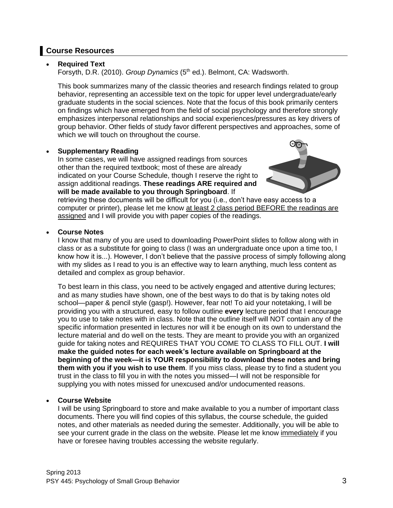# **Course Resources**

### • **Required Text**

Forsyth, D.R. (2010). Group Dynamics (5<sup>th</sup> ed.). Belmont, CA: Wadsworth.

This book summarizes many of the classic theories and research findings related to group behavior, representing an accessible text on the topic for upper level undergraduate/early graduate students in the social sciences. Note that the focus of this book primarily centers on findings which have emerged from the field of social psychology and therefore strongly emphasizes interpersonal relationships and social experiences/pressures as key drivers of group behavior. Other fields of study favor different perspectives and approaches, some of which we will touch on throughout the course.

### • **Supplementary Reading**

In some cases, we will have assigned readings from sources other than the required textbook; most of these are already indicated on your Course Schedule, though I reserve the right to assign additional readings. **These readings ARE required and will be made available to you through Springboard**. If



retrieving these documents will be difficult for you (i.e., don't have easy access to a computer or printer), please let me know at least 2 class period BEFORE the readings are assigned and I will provide you with paper copies of the readings.

### • **Course Notes**

I know that many of you are used to downloading PowerPoint slides to follow along with in class or as a substitute for going to class (I was an undergraduate once upon a time too, I know how it is...). However, I don't believe that the passive process of simply following along with my slides as I read to you is an effective way to learn anything, much less content as detailed and complex as group behavior.

To best learn in this class, you need to be actively engaged and attentive during lectures; and as many studies have shown, one of the best ways to do that is by taking notes old school—paper & pencil style (gasp!). However, fear not! To aid your notetaking, I will be providing you with a structured, easy to follow outline **every** lecture period that I encourage you to use to take notes with in class. Note that the outline itself will NOT contain any of the specific information presented in lectures nor will it be enough on its own to understand the lecture material and do well on the tests. They are meant to provide you with an organized guide for taking notes and REQUIRES THAT YOU COME TO CLASS TO FILL OUT. **I will make the guided notes for each week's lecture available on Springboard at the beginning of the week—it is YOUR responsibility to download these notes and bring them with you if you wish to use them**. If you miss class, please try to find a student you trust in the class to fill you in with the notes you missed—I will not be responsible for supplying you with notes missed for unexcused and/or undocumented reasons.

### • **Course Website**

I will be using Springboard to store and make available to you a number of important class documents. There you will find copies of this syllabus, the course schedule, the guided notes, and other materials as needed during the semester. Additionally, you will be able to see your current grade in the class on the website. Please let me know immediately if you have or foresee having troubles accessing the website regularly.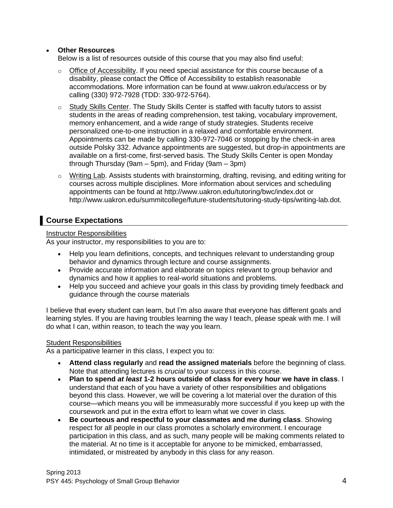### • **Other Resources**

Below is a list of resources outside of this course that you may also find useful:

- o Office of Accessibility. If you need special assistance for this course because of a disability, please contact the Office of Accessibility to establish reasonable accommodations. More information can be found at www.uakron.edu/access or by calling (330) 972-7928 (TDD: 330-972-5764).
- o Study Skills Center. The Study Skills Center is staffed with faculty tutors to assist students in the areas of reading comprehension, test taking, vocabulary improvement, memory enhancement, and a wide range of study strategies. Students receive personalized one-to-one instruction in a relaxed and comfortable environment. Appointments can be made by calling 330-972-7046 or stopping by the check-in area outside Polsky 332. Advance appointments are suggested, but drop-in appointments are available on a first-come, first-served basis. The Study Skills Center is open Monday through Thursday (9am – 5pm), and Friday (9am – 3pm)
- $\circ$  Writing Lab. Assists students with brainstorming, drafting, revising, and editing writing for courses across multiple disciplines. More information about services and scheduling appointments can be found at http://www.uakron.edu/tutoring/bwc/index.dot or http://www.uakron.edu/summitcollege/future-students/tutoring-study-tips/writing-lab.dot.

# **Course Expectations**

### Instructor Responsibilities

As your instructor, my responsibilities to you are to:

- Help you learn definitions, concepts, and techniques relevant to understanding group behavior and dynamics through lecture and course assignments.
- Provide accurate information and elaborate on topics relevant to group behavior and dynamics and how it applies to real-world situations and problems.
- Help you succeed and achieve your goals in this class by providing timely feedback and guidance through the course materials

I believe that every student can learn, but I'm also aware that everyone has different goals and learning styles. If you are having troubles learning the way I teach, please speak with me. I will do what I can, within reason, to teach the way you learn.

### Student Responsibilities

As a participative learner in this class, I expect you to:

- **Attend class regularly** and **read the assigned materials** before the beginning of class. Note that attending lectures is *crucial* to your success in this course.
- **Plan to spend** *at least* **1-2 hours outside of class for every hour we have in class**. I understand that each of you have a variety of other responsibilities and obligations beyond this class. However, we will be covering a lot material over the duration of this course—which means you will be immeasurably more successful if you keep up with the coursework and put in the extra effort to learn what we cover in class.
- **Be courteous and respectful to your classmates and me during class**. Showing respect for all people in our class promotes a scholarly environment. I encourage participation in this class, and as such, many people will be making comments related to the material. At no time is it acceptable for anyone to be mimicked, embarrassed, intimidated, or mistreated by anybody in this class for any reason.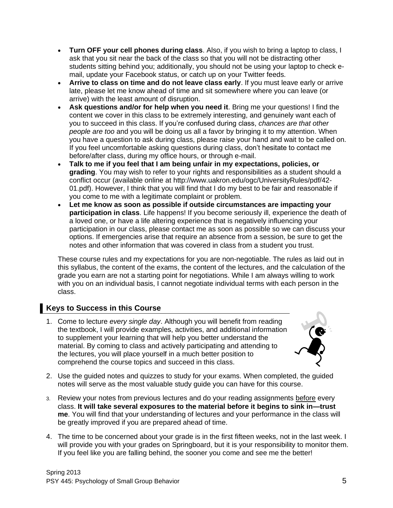- **Turn OFF your cell phones during class**. Also, if you wish to bring a laptop to class, I ask that you sit near the back of the class so that you will not be distracting other students sitting behind you; additionally, you should not be using your laptop to check email, update your Facebook status, or catch up on your Twitter feeds.
- **Arrive to class on time and do not leave class early**. If you must leave early or arrive late, please let me know ahead of time and sit somewhere where you can leave (or arrive) with the least amount of disruption.
- **Ask questions and/or for help when you need it**. Bring me your questions! I find the content we cover in this class to be extremely interesting, and genuinely want each of you to succeed in this class. If you're confused during class, *chances are that other people are too* and you will be doing us all a favor by bringing it to my attention. When you have a question to ask during class, please raise your hand and wait to be called on. If you feel uncomfortable asking questions during class, don't hesitate to contact me before/after class, during my office hours, or through e-mail.
- **Talk to me if you feel that I am being unfair in my expectations, policies, or grading**. You may wish to refer to your rights and responsibilities as a student should a conflict occur (available online at http://www.uakron.edu/ogc/UniversityRules/pdf/42- 01.pdf). However, I think that you will find that I do my best to be fair and reasonable if you come to me with a legitimate complaint or problem.
- **Let me know as soon as possible if outside circumstances are impacting your participation in class**. Life happens! If you become seriously ill, experience the death of a loved one, or have a life altering experience that is negatively influencing your participation in our class, please contact me as soon as possible so we can discuss your options. If emergencies arise that require an absence from a session, be sure to get the notes and other information that was covered in class from a student you trust.

These course rules and my expectations for you are non-negotiable. The rules as laid out in this syllabus, the content of the exams, the content of the lectures, and the calculation of the grade you earn are not a starting point for negotiations. While I am always willing to work with you on an individual basis, I cannot negotiate individual terms with each person in the class.

# **Keys to Success in this Course**

1. Come to lecture *every single day*. Although you will benefit from reading the textbook, I will provide examples, activities, and additional information to supplement your learning that will help you better understand the material. By coming to class and actively participating and attending to the lectures, you will place yourself in a much better position to comprehend the course topics and succeed in this class.



- 2. Use the guided notes and quizzes to study for your exams. When completed, the guided notes will serve as the most valuable study guide you can have for this course.
- 3. Review your notes from previous lectures and do your reading assignments before every class. **It will take several exposures to the material before it begins to sink in—trust me**. You will find that your understanding of lectures and your performance in the class will be greatly improved if you are prepared ahead of time.
- 4. The time to be concerned about your grade is in the first fifteen weeks, not in the last week. I will provide you with your grades on Springboard, but it is your responsibility to monitor them. If you feel like you are falling behind, the sooner you come and see me the better!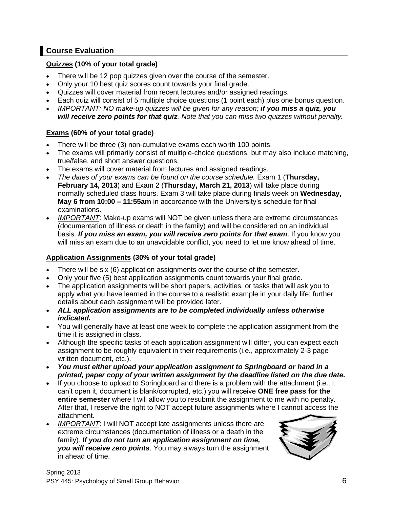# **Course Evaluation**

## **Quizzes (10% of your total grade)**

- There will be 12 pop quizzes given over the course of the semester.
- Only your 10 best quiz scores count towards your final grade.
- Quizzes will cover material from recent lectures and/or assigned readings.
- Each quiz will consist of 5 multiple choice questions (1 point each) plus one bonus question.
- *IMPORTANT: NO make-up quizzes will be given for any reason; if you miss a quiz, you will receive zero points for that quiz. Note that you can miss two quizzes without penalty.*

## **Exams (60% of your total grade)**

- There will be three (3) non-cumulative exams each worth 100 points.
- The exams will primarily consist of multiple-choice questions, but may also include matching, true/false, and short answer questions.
- The exams will cover material from lectures and assigned readings.
- *The dates of your exams can be found on the course schedule.* Exam 1 (**Thursday, February 14, 2013**) and Exam 2 (**Thursday, March 21, 2013**) will take place during normally scheduled class hours. Exam 3 will take place during finals week on **Wednesday, May 6 from 10:00 – 11:55am** in accordance with the University's schedule for final examinations.
- *IMPORTANT*: Make-up exams will NOT be given unless there are extreme circumstances (documentation of illness or death in the family) and will be considered on an individual basis. *If you miss an exam, you will receive zero points for that exam*. If you know you will miss an exam due to an unavoidable conflict, you need to let me know ahead of time.

## **Application Assignments (30% of your total grade)**

- There will be six (6) application assignments over the course of the semester.
- Only your five (5) best application assignments count towards your final grade.
- The application assignments will be short papers, activities, or tasks that will ask you to apply what you have learned in the course to a realistic example in your daily life; further details about each assignment will be provided later.
- *ALL application assignments are to be completed individually unless otherwise indicated.*
- You will generally have at least one week to complete the application assignment from the time it is assigned in class.
- Although the specific tasks of each application assignment will differ, you can expect each assignment to be roughly equivalent in their requirements (i.e., approximately 2-3 page written document, etc.).
- *You must either upload your application assignment to Springboard or hand in a printed, paper copy of your written assignment by the deadline listed on the due date.*
- If you choose to upload to Springboard and there is a problem with the attachment (i.e., I can't open it, document is blank/corrupted, etc.) you will receive **ONE free pass for the entire semester** where I will allow you to resubmit the assignment to me with no penalty. After that, I reserve the right to NOT accept future assignments where I cannot access the attachment.
- *IMPORTANT: I will NOT accept late assignments unless there are* extreme circumstances (documentation of illness or a death in the family). *If you do not turn an application assignment on time, you will receive zero points*. You may always turn the assignment in ahead of time.

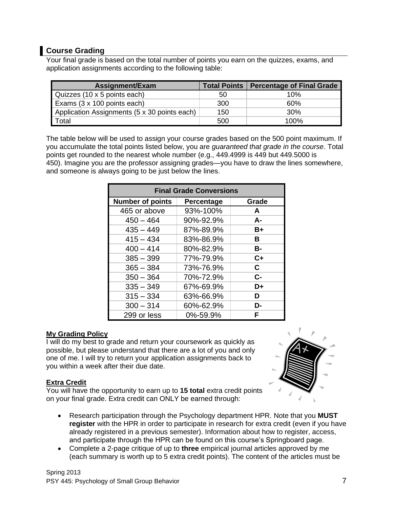# **Course Grading**

Your final grade is based on the total number of points you earn on the quizzes, exams, and application assignments according to the following table:

| Assignment/Exam                              |     | Total Points   Percentage of Final Grade |
|----------------------------------------------|-----|------------------------------------------|
| Quizzes (10 x 5 points each)                 | 50  | 10%                                      |
| Exams (3 x 100 points each)                  | 300 | 60%                                      |
| Application Assignments (5 x 30 points each) | 150 | 30%                                      |
| Total                                        | 500 | 100%                                     |

The table below will be used to assign your course grades based on the 500 point maximum. If you accumulate the total points listed below, you are *guaranteed that grade in the course*. Total points get rounded to the nearest whole number (e.g., 449.4999 is 449 but 449.5000 is 450). Imagine you are the professor assigning grades—you have to draw the lines somewhere, and someone is always going to be just below the lines.

| <b>Final Grade Conversions</b> |            |           |  |  |
|--------------------------------|------------|-----------|--|--|
| <b>Number of points</b>        | Percentage | Grade     |  |  |
| 465 or above                   | 93%-100%   | A         |  |  |
| $450 - 464$                    | 90%-92.9%  | A-        |  |  |
| $435 - 449$                    | 87%-89.9%  | $B+$      |  |  |
| $415 - 434$                    | 83%-86.9%  | В         |  |  |
| $400 - 414$                    | 80%-82.9%  | <b>B-</b> |  |  |
| $385 - 399$                    | 77%-79.9%  | $C+$      |  |  |
| $365 - 384$                    | 73%-76.9%  | C.        |  |  |
| $350 - 364$                    | 70%-72.9%  | $C -$     |  |  |
| $335 - 349$                    | 67%-69.9%  | D+        |  |  |
| $315 - 334$                    | 63%-66.9%  | D         |  |  |
| $300 - 314$                    | 60%-62.9%  | D-        |  |  |
| 299 or less                    | 0%-59.9%   | F         |  |  |

## **My Grading Policy**

I will do my best to grade and return your coursework as quickly as possible, but please understand that there are a lot of you and only one of me. I will try to return your application assignments back to you within a week after their due date.

## **Extra Credit**

You will have the opportunity to earn up to **15 total** extra credit points on your final grade. Extra credit can ONLY be earned through:



- Research participation through the Psychology department HPR. Note that you **MUST register** with the HPR in order to participate in research for extra credit (even if you have already registered in a previous semester). Information about how to register, access, and participate through the HPR can be found on this course's Springboard page.
- Complete a 2-page critique of up to **three** empirical journal articles approved by me (each summary is worth up to 5 extra credit points). The content of the articles must be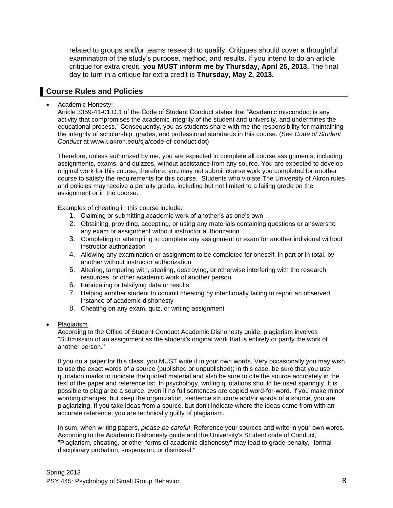related to groups and/or teams research to qualify. Critiques should cover a thoughtful examination of the study's purpose, method, and results. If you intend to do an article critique for extra credit, **you MUST inform me by Thursday, April 25, 2013.** The final day to turn in a critique for extra credit is **Thursday, May 2, 2013.**

# **Course Rules and Policies**

#### • Academic Honesty:

Article 3359-41-01.D.1 of the Code of Student Conduct states that "Academic misconduct is any activity that compromises the academic integrity of the student and university, and undermines the educational process." Consequently, you as students share with me the responsibility for maintaining the integrity of scholarship, grades, and professional standards in this course. (See *Code of Student Conduct* at www.uakron.edu/sja/code-of-conduct.dot)

Therefore, unless authorized by me, you are expected to complete all course assignments, including assignments, exams, and quizzes, without assistance from any source. You are expected to develop original work for this course; therefore, you may not submit course work you completed for another course to satisfy the requirements for this course. Students who violate The University of Akron rules and policies may receive a penalty grade, including but not limited to a failing grade on the assignment or in the course.

Examples of cheating in this course include:

- 1. Claiming or submitting academic work of another's as one's own
- 2. Obtaining, providing, accepting, or using any materials containing questions or answers to any exam or assignment without instructor authorization
- 3. Completing or attempting to complete any assignment or exam for another individual without instructor authorization
- 4. Allowing any examination or assignment to be completed for oneself, in part or in total, by another without instructor authorization
- 5. Altering, tampering with, stealing, destroying, or otherwise interfering with the research, resources, or other academic work of another person
- 6. Fabricating or falsifying data or results
- 7. Helping another student to commit cheating by intentionally failing to report an observed instance of academic dishonesty
- 8. Cheating on any exam, quiz, or writing assignment
- Plagiarism

According to the Office of Student Conduct Academic Dishonesty guide, plagiarism involves "Submission of an assignment as the student's original work that is entirely or partly the work of another person."

If you do a paper for this class, you MUST write it in your own words. Very occasionally you may wish to use the exact words of a source (published or unpublished); in this case, be sure that you use quotation marks to indicate the quoted material and also be sure to cite the source accurately in the text of the paper and reference list. In psychology, writing quotations should be used sparingly. It is possible to plagiarize a source, even if no full sentences are copied word-for-word. If you make minor wording changes, but keep the organization, sentence structure and/or words of a source, you are plagiarizing. If you take ideas from a source, but don't indicate where the ideas came from with an accurate reference, you are technically guilty of plagiarism.

In sum, when writing papers, *please be careful*. Reference your sources and write in your own words. According to the Academic Dishonesty guide and the University's Student code of Conduct, "Plagiarism, cheating, or other forms of academic dishonesty" may lead to grade penalty, "formal disciplinary probation, suspension, or dismissal."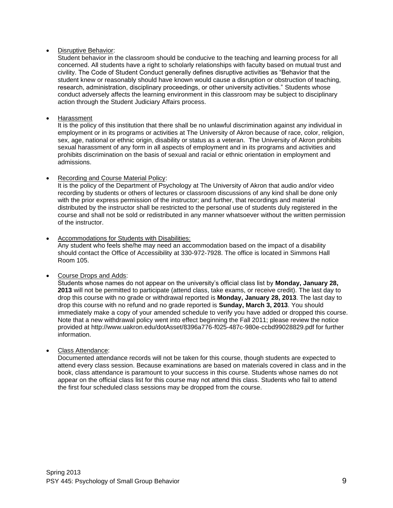#### • Disruptive Behavior:

Student behavior in the classroom should be conducive to the teaching and learning process for all concerned. All students have a right to scholarly relationships with faculty based on mutual trust and civility. The Code of Student Conduct generally defines disruptive activities as "Behavior that the student knew or reasonably should have known would cause a disruption or obstruction of teaching, research, administration, disciplinary proceedings, or other university activities." Students whose conduct adversely affects the learning environment in this classroom may be subject to disciplinary action through the Student Judiciary Affairs process.

#### **Harassment**

It is the policy of this institution that there shall be no unlawful discrimination against any individual in employment or in its programs or activities at The University of Akron because of race, color, religion, sex, age, national or ethnic origin, disability or status as a veteran. The University of Akron prohibits sexual harassment of any form in all aspects of employment and in its programs and activities and prohibits discrimination on the basis of sexual and racial or ethnic orientation in employment and admissions.

#### • Recording and Course Material Policy:

It is the policy of the Department of Psychology at The University of Akron that audio and/or video recording by students or others of lectures or classroom discussions of any kind shall be done only with the prior express permission of the instructor; and further, that recordings and material distributed by the instructor shall be restricted to the personal use of students duly registered in the course and shall not be sold or redistributed in any manner whatsoever without the written permission of the instructor.

#### • Accommodations for Students with Disabilities: Any student who feels she/he may need an accommodation based on the impact of a disability should contact the Office of Accessibility at 330-972-7928. The office is located in Simmons Hall Room 105.

#### • Course Drops and Adds:

Students whose names do not appear on the university's official class list by **Monday, January 28, 2013** will not be permitted to participate (attend class, take exams, or receive credit). The last day to drop this course with no grade or withdrawal reported is **Monday, January 28, 2013**. The last day to drop this course with no refund and no grade reported is **Sunday, March 3, 2013**. You should immediately make a copy of your amended schedule to verify you have added or dropped this course. Note that a new withdrawal policy went into effect beginning the Fall 2011; please review the notice provided at http://www.uakron.edu/dotAsset/8396a776-f025-487c-980e-ccbd99028829.pdf for further information.

#### • Class Attendance:

Documented attendance records will not be taken for this course, though students are expected to attend every class session. Because examinations are based on materials covered in class and in the book, class attendance is paramount to your success in this course. Students whose names do not appear on the official class list for this course may not attend this class. Students who fail to attend the first four scheduled class sessions may be dropped from the course.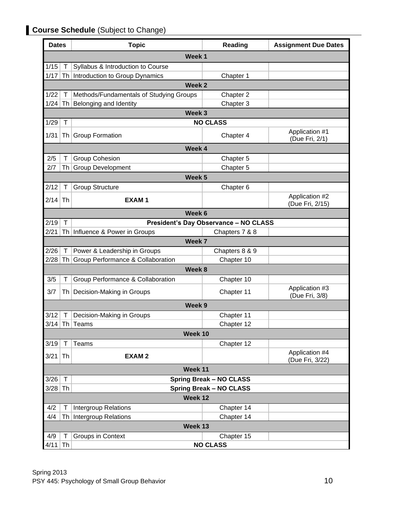# **Course Schedule** (Subject to Change)

| <b>Dates</b> |        | <b>Topic</b>                                 | Reading                                      | <b>Assignment Due Dates</b>       |  |
|--------------|--------|----------------------------------------------|----------------------------------------------|-----------------------------------|--|
|              |        | Week <sub>1</sub>                            |                                              |                                   |  |
| 1/15         | Τ      | Syllabus & Introduction to Course            |                                              |                                   |  |
| 1/17         |        | Th Introduction to Group Dynamics            | Chapter 1                                    |                                   |  |
|              |        | Week 2                                       |                                              |                                   |  |
| 1/22         | T      | Methods/Fundamentals of Studying Groups      | Chapter 2                                    |                                   |  |
| 1/24         | Th     | Belonging and Identity                       | Chapter 3                                    |                                   |  |
|              |        | Week 3                                       |                                              |                                   |  |
| 1/29         | $\top$ |                                              | <b>NO CLASS</b>                              |                                   |  |
| 1/31         |        | Th Group Formation                           | Chapter 4                                    | Application #1<br>(Due Fri, 2/1)  |  |
|              |        | Week 4                                       |                                              |                                   |  |
| 2/5          | Τ      | <b>Group Cohesion</b>                        | Chapter 5                                    |                                   |  |
| 2/7          | Th I   | <b>Group Development</b>                     | Chapter 5                                    |                                   |  |
|              |        | Week <sub>5</sub>                            |                                              |                                   |  |
| 2/12         | T      | <b>Group Structure</b>                       | Chapter 6                                    |                                   |  |
| 2/14         | Th     | <b>EXAM1</b>                                 |                                              | Application #2<br>(Due Fri, 2/15) |  |
|              |        | Week 6                                       |                                              |                                   |  |
| 2/19         | $\top$ |                                              | <b>President's Day Observance - NO CLASS</b> |                                   |  |
| 2/21         |        | Th Influence & Power in Groups               | Chapters 7 & 8                               |                                   |  |
|              |        | Week 7                                       |                                              |                                   |  |
| 2/26         | T.     | Power & Leadership in Groups                 | Chapters 8 & 9                               |                                   |  |
| 2/28         | Th I   | <b>Group Performance &amp; Collaboration</b> | Chapter 10                                   |                                   |  |
|              |        | Week 8                                       |                                              |                                   |  |
| 3/5          | Τ      | Group Performance & Collaboration            | Chapter 10                                   |                                   |  |
| 3/7          | Th     | Decision-Making in Groups                    | Chapter 11                                   | Application #3<br>(Due Fri, 3/8)  |  |
|              |        | Week <sub>9</sub>                            |                                              |                                   |  |
| 3/12         |        | Decision-Making in Groups                    | Chapter 11                                   |                                   |  |
|              |        | $3/14$ Th Teams                              | Chapter 12                                   |                                   |  |
|              |        | Week 10                                      |                                              |                                   |  |
| 3/19         | $\top$ | <b>Teams</b>                                 | Chapter 12                                   |                                   |  |
| 3/21         | Th     | <b>EXAM2</b>                                 |                                              | Application #4<br>(Due Fri, 3/22) |  |
|              |        | Week 11                                      |                                              |                                   |  |
| 3/26         | $\top$ |                                              | <b>Spring Break - NO CLASS</b>               |                                   |  |
| 3/28         | ∣Th    |                                              | <b>Spring Break - NO CLASS</b>               |                                   |  |
|              |        | Week 12                                      |                                              |                                   |  |
| 4/2          | $\top$ | <b>Intergroup Relations</b>                  | Chapter 14                                   |                                   |  |
| 4/4          | Th     | Intergroup Relations                         | Chapter 14                                   |                                   |  |
| Week 13      |        |                                              |                                              |                                   |  |
| 4/9          | Τ      | Groups in Context                            | Chapter 15                                   |                                   |  |
| $4/11$ Th    |        |                                              | <b>NO CLASS</b>                              |                                   |  |